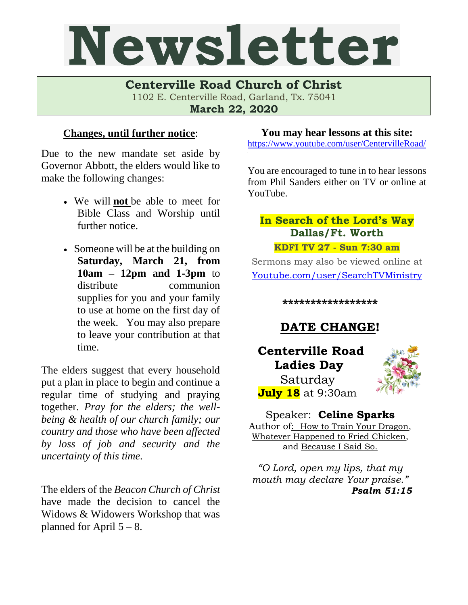# Newsletter

**Centerville Road Church of Christ**  1102 E. Centerville Road, Garland, Tx. 75041

**March 22, 2020**

#### **Changes, until further notice**:

Due to the new mandate set aside by Governor Abbott, the elders would like to make the following changes:

- We will **not** be able to meet for Bible Class and Worship until further notice.
- Someone will be at the building on **Saturday, March 21, from 10am – 12pm and 1-3pm** to distribute communion supplies for you and your family to use at home on the first day of the week. You may also prepare to leave your contribution at that time.

The elders suggest that every household put a plan in place to begin and continue a regular time of studying and praying together. *Pray for the elders; the wellbeing & health of our church family; our country and those who have been affected by loss of job and security and the uncertainty of this time.*

The elders of the *Beacon Church of Christ* have made the decision to cancel the Widows & Widowers Workshop that was planned for April  $5 - 8$ .

#### **You may hear lessons at this site:**

<https://www.youtube.com/user/CentervilleRoad/>

You are encouraged to tune in to hear lessons from Phil Sanders either on TV or online at YouTube.

### **In Search of the Lord's Way Dallas/Ft. Worth**

**KDFI TV 27 - Sun 7:30 am**

Sermons may also be viewed online at [Youtube.com/user/SearchTVMinistry](mailto:youtube.com/user/SearchTVMinistry)

**\*\*\*\*\*\*\*\*\*\*\*\*\*\*\*\*\***

# **DATE CHANGE!**

**Centerville Road Ladies Day** Saturday **July 18** at 9:30am



Speaker: **Celine Sparks** Author of:How to Train Your Dragon, Whatever Happened to Fried Chicken, and Because I Said So.

*"O Lord, open my lips, that my mouth may declare Your praise." Psalm 51:15*